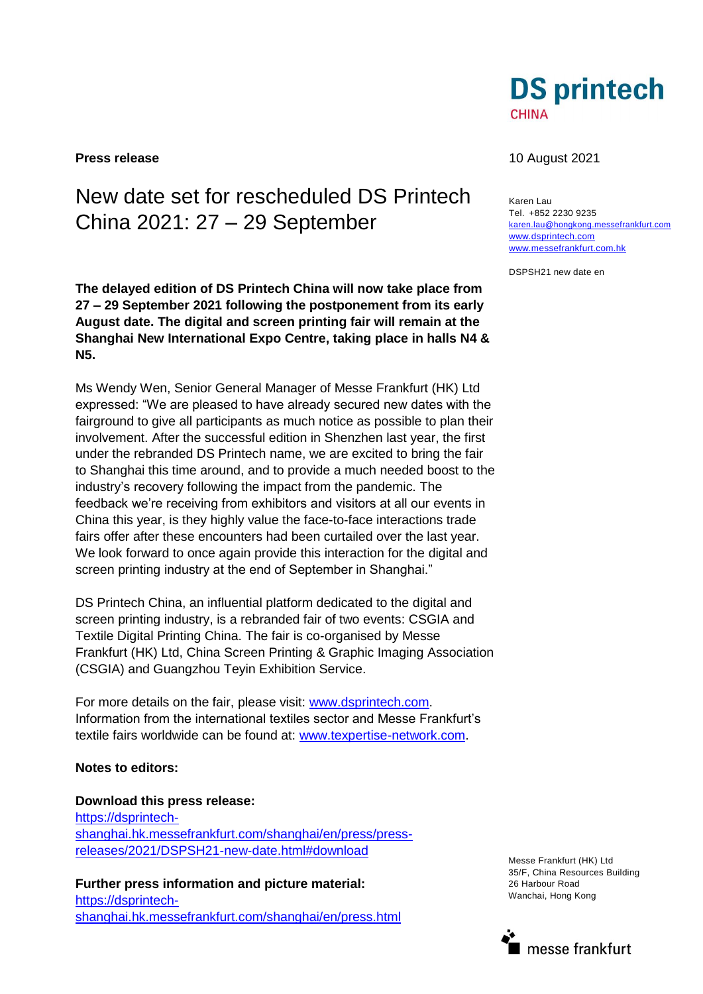

# New date set for rescheduled DS Printech China 2021: 27 – 29 September

**The delayed edition of DS Printech China will now take place from 27 – 29 September 2021 following the postponement from its early August date. The digital and screen printing fair will remain at the Shanghai New International Expo Centre, taking place in halls N4 & N5.**

Ms Wendy Wen, Senior General Manager of Messe Frankfurt (HK) Ltd expressed: "We are pleased to have already secured new dates with the fairground to give all participants as much notice as possible to plan their involvement. After the successful edition in Shenzhen last year, the first under the rebranded DS Printech name, we are excited to bring the fair to Shanghai this time around, and to provide a much needed boost to the industry's recovery following the impact from the pandemic. The feedback we're receiving from exhibitors and visitors at all our events in China this year, is they highly value the face-to-face interactions trade fairs offer after these encounters had been curtailed over the last year. We look forward to once again provide this interaction for the digital and screen printing industry at the end of September in Shanghai."

DS Printech China, an influential platform dedicated to the digital and screen printing industry, is a rebranded fair of two events: CSGIA and Textile Digital Printing China. The fair is co-organised by Messe Frankfurt (HK) Ltd, China Screen Printing & Graphic Imaging Association (CSGIA) and Guangzhou Teyin Exhibition Service.

For more details on the fair, please visit: [www.dsprintech.com.](http://www.dsprintech.com/) Information from the international textiles sector and Messe Frankfurt's textile fairs worldwide can be found at: [www.texpertise-network.com.](file:///C:/Users/peddlee/AppData/Local/Microsoft/Windows/Temporary%20Internet%20Files/Content.Outlook/XDY9MMDL/www.texpertise-network.com)

## **Notes to editors:**

**Download this press release:** [https://dsprintech](https://dsprintech-shanghai.hk.messefrankfurt.com/shanghai/en/press/press-releases/2021/DSPSH21-new-date.html#download)[shanghai.hk.messefrankfurt.com/shanghai/en/press/press](https://dsprintech-shanghai.hk.messefrankfurt.com/shanghai/en/press/press-releases/2021/DSPSH21-new-date.html#download)[releases/2021/DSPSH21-new-date.html#download](https://dsprintech-shanghai.hk.messefrankfurt.com/shanghai/en/press/press-releases/2021/DSPSH21-new-date.html#download)

**Further press information and picture material:** [https://dsprintech](https://dsprintech-shanghai.hk.messefrankfurt.com/shanghai/en/press.html)[shanghai.hk.messefrankfurt.com/shanghai/en/press.html](https://dsprintech-shanghai.hk.messefrankfurt.com/shanghai/en/press.html)

### **Press release** 10 August 2021

Karen Lau Tel. +852 2230 9235 [karen.lau@hongkong.messefrankfurt.com](mailto:karen.lau@hongkong.messefrankfurt.com) [www.dsprintech.com](http://www.dsprintech.com/)  [www.messefrankfurt.com.hk](http://www.messefrankfurt.com.hk/)

DSPSH21 new date en

Messe Frankfurt (HK) Ltd 35/F, China Resources Building 26 Harbour Road Wanchai, Hong Kong